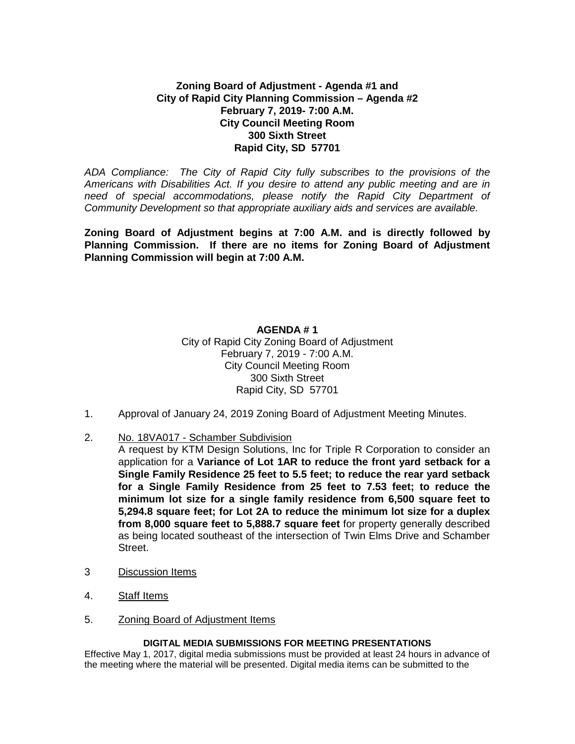# **Zoning Board of Adjustment - Agenda #1 and City of Rapid City Planning Commission – Agenda #2 February 7, 2019- 7:00 A.M. City Council Meeting Room 300 Sixth Street Rapid City, SD 57701**

*ADA Compliance: The City of Rapid City fully subscribes to the provisions of the Americans with Disabilities Act. If you desire to attend any public meeting and are in need of special accommodations, please notify the Rapid City Department of Community Development so that appropriate auxiliary aids and services are available.*

**Zoning Board of Adjustment begins at 7:00 A.M. and is directly followed by Planning Commission. If there are no items for Zoning Board of Adjustment Planning Commission will begin at 7:00 A.M.**

> **AGENDA # 1** City of Rapid City Zoning Board of Adjustment February 7, 2019 - 7:00 A.M. City Council Meeting Room 300 Sixth Street Rapid City, SD 57701

- 1. Approval of January 24, 2019 Zoning Board of Adjustment Meeting Minutes.
- 2. No. 18VA017 Schamber Subdivision

A request by KTM Design Solutions, Inc for Triple R Corporation to consider an application for a **Variance of Lot 1AR to reduce the front yard setback for a Single Family Residence 25 feet to 5.5 feet; to reduce the rear yard setback for a Single Family Residence from 25 feet to 7.53 feet; to reduce the minimum lot size for a single family residence from 6,500 square feet to 5,294.8 square feet; for Lot 2A to reduce the minimum lot size for a duplex from 8,000 square feet to 5,888.7 square feet** for property generally described as being located southeast of the intersection of Twin Elms Drive and Schamber Street.

- 3 Discussion Items
- 4. Staff Items
- 5. Zoning Board of Adjustment Items

#### **DIGITAL MEDIA SUBMISSIONS FOR MEETING PRESENTATIONS**

Effective May 1, 2017, digital media submissions must be provided at least 24 hours in advance of the meeting where the material will be presented. Digital media items can be submitted to the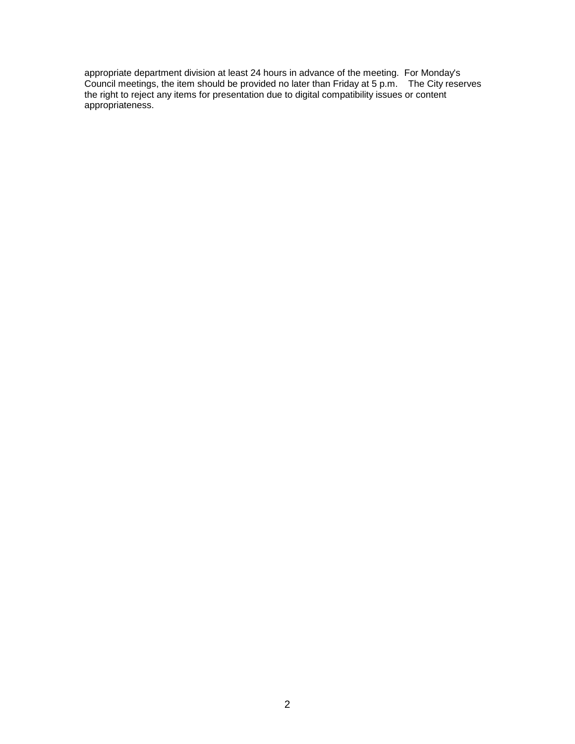appropriate department division at least 24 hours in advance of the meeting. For Monday's Council meetings, the item should be provided no later than Friday at 5 p.m. The City reserves the right to reject any items for presentation due to digital compatibility issues or content appropriateness.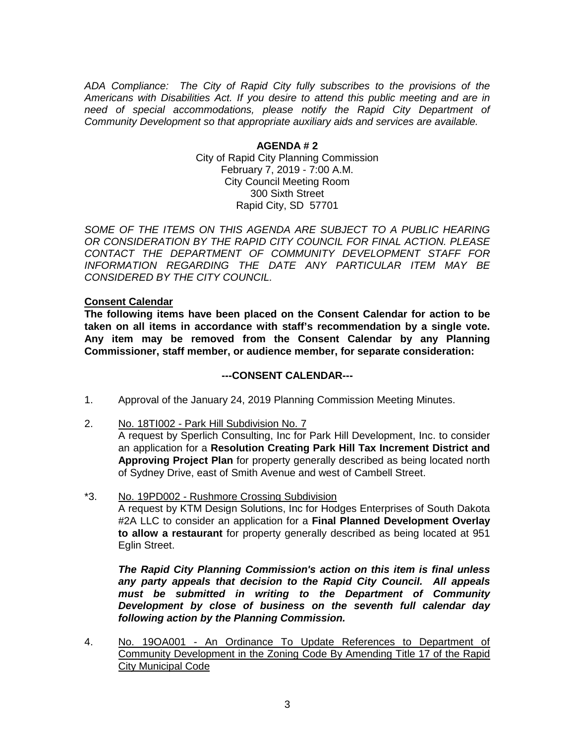*ADA Compliance: The City of Rapid City fully subscribes to the provisions of the Americans with Disabilities Act. If you desire to attend this public meeting and are in need of special accommodations, please notify the Rapid City Department of Community Development so that appropriate auxiliary aids and services are available.*

> **AGENDA # 2** City of Rapid City Planning Commission February 7, 2019 - 7:00 A.M. City Council Meeting Room 300 Sixth Street Rapid City, SD 57701

*SOME OF THE ITEMS ON THIS AGENDA ARE SUBJECT TO A PUBLIC HEARING OR CONSIDERATION BY THE RAPID CITY COUNCIL FOR FINAL ACTION. PLEASE CONTACT THE DEPARTMENT OF COMMUNITY DEVELOPMENT STAFF FOR INFORMATION REGARDING THE DATE ANY PARTICULAR ITEM MAY BE CONSIDERED BY THE CITY COUNCIL.*

## **Consent Calendar**

**The following items have been placed on the Consent Calendar for action to be taken on all items in accordance with staff's recommendation by a single vote. Any item may be removed from the Consent Calendar by any Planning Commissioner, staff member, or audience member, for separate consideration:**

### **---CONSENT CALENDAR---**

- 1. Approval of the January 24, 2019 Planning Commission Meeting Minutes.
- 2. No. 18TI002 Park Hill Subdivision No. 7

A request by Sperlich Consulting, Inc for Park Hill Development, Inc. to consider an application for a **Resolution Creating Park Hill Tax Increment District and Approving Project Plan** for property generally described as being located north of Sydney Drive, east of Smith Avenue and west of Cambell Street.

\*3. No. 19PD002 - Rushmore Crossing Subdivision A request by KTM Design Solutions, Inc for Hodges Enterprises of South Dakota #2A LLC to consider an application for a **Final Planned Development Overlay to allow a restaurant** for property generally described as being located at 951 Eglin Street.

*The Rapid City Planning Commission's action on this item is final unless any party appeals that decision to the Rapid City Council. All appeals must be submitted in writing to the Department of Community Development by close of business on the seventh full calendar day following action by the Planning Commission.*

4. No. 19OA001 - An Ordinance To Update References to Department of Community Development in the Zoning Code By Amending Title 17 of the Rapid City Municipal Code